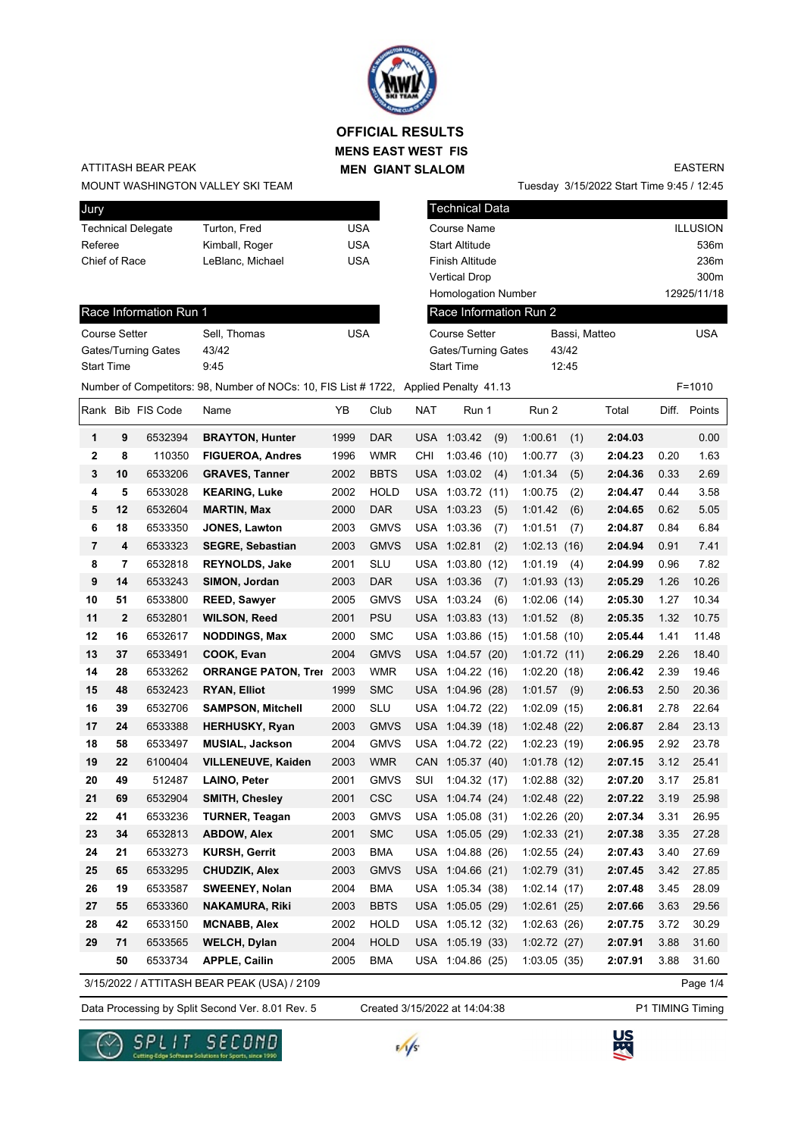

## **MENS EAST WEST FIS MEN GIANT SLALOM OFFICIAL RESULTS**

### ATTITASH BEAR PEAK

MOUNT WASHINGTON VALLEY SKI TEAM

Tuesday 3/15/2022 Start Time 9:45 / 12:45 EASTERN

| Jury                 |             |                           |                                                                                       |            |             |            | <b>Technical Data</b>  |     |              |       |               |       |                 |
|----------------------|-------------|---------------------------|---------------------------------------------------------------------------------------|------------|-------------|------------|------------------------|-----|--------------|-------|---------------|-------|-----------------|
|                      |             | <b>Technical Delegate</b> | Turton, Fred                                                                          | <b>USA</b> |             |            | Course Name            |     |              |       |               |       | <b>ILLUSION</b> |
| Referee              |             |                           | Kimball, Roger                                                                        | <b>USA</b> |             |            | <b>Start Altitude</b>  |     |              |       |               |       | 536m            |
| Chief of Race        |             |                           | LeBlanc, Michael                                                                      | <b>USA</b> |             |            | Finish Altitude        |     |              |       |               |       | 236m            |
|                      |             |                           |                                                                                       |            |             |            | <b>Vertical Drop</b>   |     |              |       |               |       | 300m            |
|                      |             |                           |                                                                                       |            |             |            | Homologation Number    |     |              |       |               |       | 12925/11/18     |
|                      |             | Race Information Run 1    |                                                                                       |            |             |            | Race Information Run 2 |     |              |       |               |       |                 |
| <b>Course Setter</b> |             |                           | Sell, Thomas                                                                          | <b>USA</b> |             |            | <b>Course Setter</b>   |     |              |       | Bassi, Matteo |       | <b>USA</b>      |
|                      |             | Gates/Turning Gates       | 43/42                                                                                 |            |             |            | Gates/Turning Gates    |     |              | 43/42 |               |       |                 |
| <b>Start Time</b>    |             |                           | 9:45                                                                                  |            |             |            | <b>Start Time</b>      |     |              | 12:45 |               |       |                 |
|                      |             |                           | Number of Competitors: 98, Number of NOCs: 10, FIS List # 1722, Applied Penalty 41.13 |            |             |            |                        |     |              |       |               |       | $F = 1010$      |
|                      |             | Rank Bib FIS Code         | Name                                                                                  | ΥB         | Club        | <b>NAT</b> | Run 1                  |     | Run 2        |       | Total         | Diff. | Points          |
| 1                    | 9           | 6532394                   | <b>BRAYTON, Hunter</b>                                                                | 1999       | <b>DAR</b>  |            | USA 1:03.42            | (9) | 1:00.61      | (1)   | 2:04.03       |       | 0.00            |
| $\mathbf{2}$         | 8           | 110350                    | <b>FIGUEROA, Andres</b>                                                               | 1996       | <b>WMR</b>  | CHI        | 1:03.46(10)            |     | 1:00.77      | (3)   | 2:04.23       | 0.20  | 1.63            |
| 3                    | 10          | 6533206                   | <b>GRAVES, Tanner</b>                                                                 | 2002       | <b>BBTS</b> |            | USA 1:03.02            | (4) | 1:01.34      | (5)   | 2:04.36       | 0.33  | 2.69            |
| 4                    | 5           | 6533028                   | <b>KEARING, Luke</b>                                                                  | 2002       | <b>HOLD</b> |            | USA 1:03.72 (11)       |     | 1:00.75      | (2)   | 2:04.47       | 0.44  | 3.58            |
| 5                    | 12          | 6532604                   | <b>MARTIN, Max</b>                                                                    | 2000       | <b>DAR</b>  |            | USA 1:03.23            | (5) | 1:01.42      | (6)   | 2:04.65       | 0.62  | 5.05            |
| 6                    | 18          | 6533350                   | JONES, Lawton                                                                         | 2003       | <b>GMVS</b> |            | USA 1:03.36            | (7) | 1:01.51      | (7)   | 2:04.87       | 0.84  | 6.84            |
| $\overline{7}$       | 4           | 6533323                   | <b>SEGRE, Sebastian</b>                                                               | 2003       | <b>GMVS</b> |            | USA 1:02.81            | (2) | 1:02.13(16)  |       | 2:04.94       | 0.91  | 7.41            |
| 8                    | 7           | 6532818                   | <b>REYNOLDS, Jake</b>                                                                 | 2001       | <b>SLU</b>  |            | USA 1:03.80 (12)       |     | 1:01.19      | (4)   | 2:04.99       | 0.96  | 7.82            |
| 9                    | 14          | 6533243                   | SIMON, Jordan                                                                         | 2003       | <b>DAR</b>  |            | USA 1:03.36            | (7) | 1:01.93(13)  |       | 2:05.29       | 1.26  | 10.26           |
| 10                   | 51          | 6533800                   | <b>REED, Sawyer</b>                                                                   | 2005       | <b>GMVS</b> |            | USA 1:03.24            | (6) | 1:02.06(14)  |       | 2:05.30       | 1.27  | 10.34           |
| 11                   | $\mathbf 2$ | 6532801                   | <b>WILSON, Reed</b>                                                                   | 2001       | <b>PSU</b>  |            | USA 1:03.83 (13)       |     | 1:01.52      | (8)   | 2:05.35       | 1.32  | 10.75           |
| 12                   | 16          | 6532617                   | <b>NODDINGS, Max</b>                                                                  | 2000       | <b>SMC</b>  |            | USA 1:03.86 (15)       |     | 1:01.58(10)  |       | 2:05.44       | 1.41  | 11.48           |
| 13                   | 37          | 6533491                   | COOK, Evan                                                                            | 2004       | <b>GMVS</b> |            | USA 1:04.57 (20)       |     | 1:01.72(11)  |       | 2:06.29       | 2.26  | 18.40           |
| 14                   | 28          | 6533262                   | <b>ORRANGE PATON, Trei</b>                                                            | 2003       | <b>WMR</b>  |            | USA 1:04.22 (16)       |     | 1:02.20(18)  |       | 2:06.42       | 2.39  | 19.46           |
| 15                   | 48          | 6532423                   | <b>RYAN, Elliot</b>                                                                   | 1999       | <b>SMC</b>  |            | USA 1:04.96 (28)       |     | 1:01.57      | (9)   | 2:06.53       | 2.50  | 20.36           |
| 16                   | 39          | 6532706                   | <b>SAMPSON, Mitchell</b>                                                              | 2000       | <b>SLU</b>  |            | USA 1:04.72 (22)       |     | 1:02.09(15)  |       | 2:06.81       | 2.78  | 22.64           |
| 17                   | 24          | 6533388                   | <b>HERHUSKY, Ryan</b>                                                                 | 2003       | <b>GMVS</b> |            | USA 1:04.39 (18)       |     | 1:02.48(22)  |       | 2:06.87       | 2.84  | 23.13           |
| 18                   | 58          | 6533497                   | <b>MUSIAL, Jackson</b>                                                                | 2004       | <b>GMVS</b> |            | USA 1:04.72 (22)       |     | 1:02.23 (19) |       | 2:06.95       | 2.92  | 23.78           |
| 19                   | 22          | 6100404                   | <b>VILLENEUVE, Kaiden</b>                                                             | 2003       | <b>WMR</b>  |            | CAN 1:05.37 (40)       |     | 1:01.78(12)  |       | 2:07.15       | 3.12  | 25.41           |
| 20                   | 49          | 512487                    | <b>LAINO, Peter</b>                                                                   | 2001       | <b>GMVS</b> | SUI        | 1:04.32(17)            |     | 1:02.88 (32) |       | 2:07.20       | 3.17  | 25.81           |
| 21                   | 69          | 6532904                   | <b>SMITH, Chesley</b>                                                                 | 2001       | <b>CSC</b>  |            | USA 1:04.74 (24)       |     | 1:02.48(22)  |       | 2:07.22       | 3.19  | 25.98           |
| 22                   | 41          | 6533236                   | <b>TURNER, Teagan</b>                                                                 | 2003       | <b>GMVS</b> |            | USA 1:05.08 (31)       |     | 1:02.26(20)  |       | 2:07.34       | 3.31  | 26.95           |
| 23                   | 34          | 6532813                   | <b>ABDOW, Alex</b>                                                                    | 2001       | <b>SMC</b>  |            | USA 1:05.05 (29)       |     | 1:02.33(21)  |       | 2:07.38       | 3.35  | 27.28           |
| 24                   | 21          | 6533273                   | <b>KURSH, Gerrit</b>                                                                  | 2003       | <b>BMA</b>  |            | USA 1:04.88 (26)       |     | 1:02.55(24)  |       | 2:07.43       | 3.40  | 27.69           |
| 25                   | 65          | 6533295                   | <b>CHUDZIK, Alex</b>                                                                  | 2003       | <b>GMVS</b> |            | USA 1:04.66 (21)       |     | 1:02.79(31)  |       | 2:07.45       | 3.42  | 27.85           |
| 26                   | 19          | 6533587                   | <b>SWEENEY, Nolan</b>                                                                 | 2004       | <b>BMA</b>  |            | USA 1:05.34 (38)       |     | 1:02.14(17)  |       | 2:07.48       | 3.45  | 28.09           |
| 27                   | 55          | 6533360                   | <b>NAKAMURA, Riki</b>                                                                 | 2003       | <b>BBTS</b> |            | USA 1:05.05 (29)       |     | 1:02.61(25)  |       | 2:07.66       | 3.63  | 29.56           |
| 28                   | 42          | 6533150                   | <b>MCNABB, Alex</b>                                                                   | 2002       | <b>HOLD</b> |            | USA 1:05.12 (32)       |     | 1:02.63(26)  |       | 2:07.75       | 3.72  | 30.29           |
| 29                   | 71          | 6533565                   | <b>WELCH, Dylan</b>                                                                   | 2004       | <b>HOLD</b> |            | USA 1:05.19 (33)       |     | 1:02.72 (27) |       | 2:07.91       | 3.88  | 31.60           |
|                      | 50          | 6533734                   | <b>APPLE, Cailin</b>                                                                  | 2005       | <b>BMA</b>  |            | USA 1:04.86 (25)       |     | 1:03.05(35)  |       | 2:07.91       | 3.88  | 31.60           |
|                      |             |                           | 3/15/2022 / ATTITASH BEAR PEAK (USA) / 2109                                           |            |             |            |                        |     |              |       |               |       | Page 1/4        |

Data Processing by Split Second Ver. 8.01 Rev. 5 Created 3/15/2022 at 14:04:38 P1 TIMING Timing

Created 3/15/2022 at 14:04:38





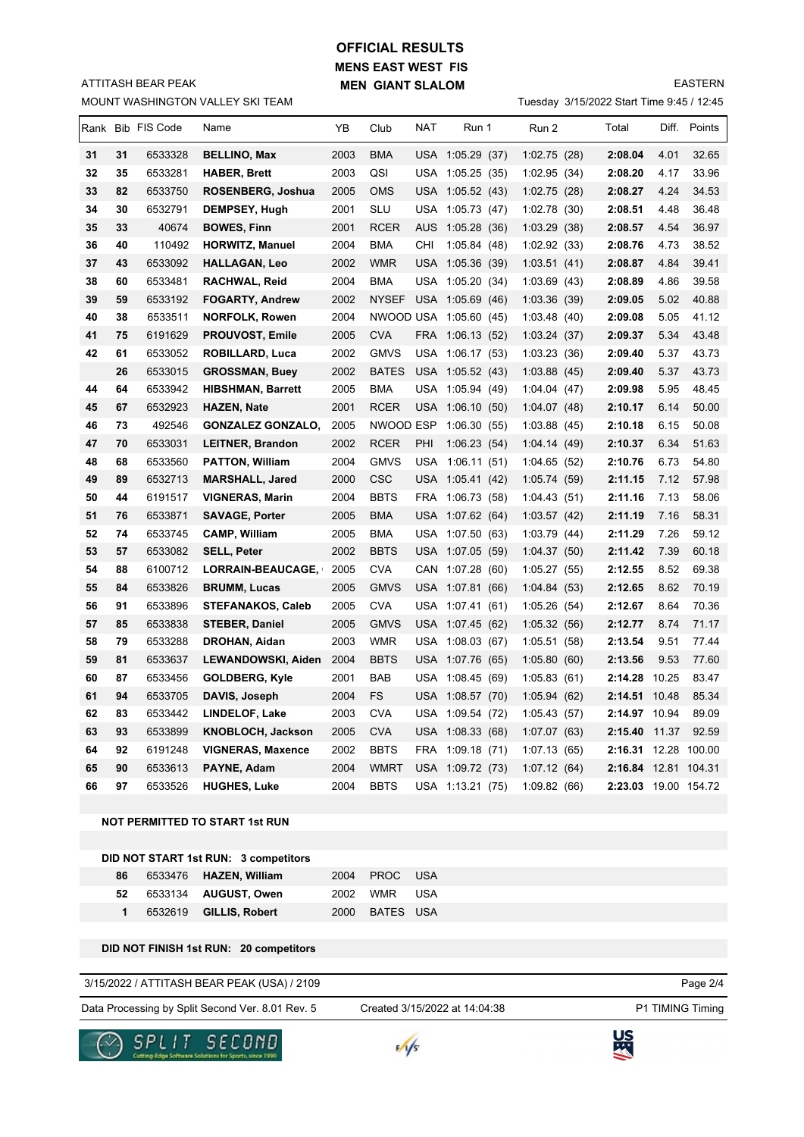# **MENS EAST WEST FIS MEN GIANT SLALOM OFFICIAL RESULTS**

EASTERN

|  | Tuesday 3/15/2022 Start Time 9:45 / 12:45 |  |  |
|--|-------------------------------------------|--|--|
|  |                                           |  |  |

|    |    |                   | MOUNT WASHINGTON VALLEY SKI TEAM |      |              |     |                        |              | Tuesday 3/15/2022 Start Time 9:45 / 12:45 |       |              |
|----|----|-------------------|----------------------------------|------|--------------|-----|------------------------|--------------|-------------------------------------------|-------|--------------|
|    |    | Rank Bib FIS Code | Name                             | YB   | Club         | NAT | Run 1                  | Run 2        | Total                                     |       | Diff. Points |
| 31 | 31 | 6533328           | <b>BELLINO, Max</b>              | 2003 | BMA          |     | USA 1:05.29 (37)       | 1:02.75(28)  | 2:08.04                                   | 4.01  | 32.65        |
| 32 | 35 | 6533281           | <b>HABER, Brett</b>              | 2003 | QSI          |     | USA 1:05.25 (35)       | 1:02.95(34)  | 2:08.20                                   | 4.17  | 33.96        |
| 33 | 82 | 6533750           | ROSENBERG, Joshua                | 2005 | <b>OMS</b>   |     | USA 1:05.52 (43)       | 1:02.75(28)  | 2:08.27                                   | 4.24  | 34.53        |
| 34 | 30 | 6532791           | DEMPSEY, Hugh                    | 2001 | SLU          |     | USA 1:05.73 (47)       | 1:02.78(30)  | 2:08.51                                   | 4.48  | 36.48        |
| 35 | 33 | 40674             | <b>BOWES, Finn</b>               | 2001 | <b>RCER</b>  | AUS | 1:05.28 (36)           | 1:03.29(38)  | 2:08.57                                   | 4.54  | 36.97        |
| 36 | 40 | 110492            | <b>HORWITZ, Manuel</b>           | 2004 | BMA          | CHI | 1:05.84(48)            | 1:02.92 (33) | 2:08.76                                   | 4.73  | 38.52        |
| 37 | 43 | 6533092           | <b>HALLAGAN, Leo</b>             | 2002 | <b>WMR</b>   |     | USA 1:05.36 (39)       | 1:03.51(41)  | 2:08.87                                   | 4.84  | 39.41        |
| 38 | 60 | 6533481           | <b>RACHWAL, Reid</b>             | 2004 | BMA          |     | USA 1:05.20 (34)       | 1:03.69(43)  | 2:08.89                                   | 4.86  | 39.58        |
| 39 | 59 | 6533192           | <b>FOGARTY, Andrew</b>           | 2002 | <b>NYSEF</b> |     | USA 1:05.69 (46)       | 1:03.36(39)  | 2:09.05                                   | 5.02  | 40.88        |
| 40 | 38 | 6533511           | <b>NORFOLK, Rowen</b>            | 2004 |              |     | NWOOD USA 1:05.60 (45) | 1:03.48(40)  | 2:09.08                                   | 5.05  | 41.12        |
| 41 | 75 | 6191629           | <b>PROUVOST, Emile</b>           | 2005 | <b>CVA</b>   |     | FRA 1:06.13 (52)       | 1:03.24(37)  | 2:09.37                                   | 5.34  | 43.48        |
| 42 | 61 | 6533052           | <b>ROBILLARD, Luca</b>           | 2002 | <b>GMVS</b>  |     | USA 1:06.17 (53)       | 1:03.23(36)  | 2:09.40                                   | 5.37  | 43.73        |
|    | 26 | 6533015           | <b>GROSSMAN, Buey</b>            | 2002 | <b>BATES</b> |     | USA 1:05.52 (43)       | 1:03.88(45)  | 2:09.40                                   | 5.37  | 43.73        |
| 44 | 64 | 6533942           | <b>HIBSHMAN, Barrett</b>         | 2005 | BMA          |     | USA 1:05.94 (49)       | 1:04.04(47)  | 2:09.98                                   | 5.95  | 48.45        |
| 45 | 67 | 6532923           | <b>HAZEN, Nate</b>               | 2001 | RCER         |     | USA 1:06.10 (50)       | 1:04.07(48)  | 2:10.17                                   | 6.14  | 50.00        |
| 46 | 73 | 492546            | <b>GONZALEZ GONZALO,</b>         | 2005 | NWOOD ESP    |     | 1:06.30(55)            | 1:03.88(45)  | 2:10.18                                   | 6.15  | 50.08        |
| 47 | 70 | 6533031           | <b>LEITNER, Brandon</b>          | 2002 | RCER         | PHI | 1:06.23(54)            | 1:04.14(49)  | 2:10.37                                   | 6.34  | 51.63        |
| 48 | 68 | 6533560           | <b>PATTON, William</b>           | 2004 | <b>GMVS</b>  |     | USA 1:06.11 (51)       | 1:04.65(52)  | 2:10.76                                   | 6.73  | 54.80        |
| 49 | 89 | 6532713           | <b>MARSHALL, Jared</b>           | 2000 | <b>CSC</b>   |     | USA 1:05.41 (42)       | 1:05.74(59)  | 2:11.15                                   | 7.12  | 57.98        |
| 50 | 44 | 6191517           | <b>VIGNERAS, Marin</b>           | 2004 | <b>BBTS</b>  | FRA | 1:06.73 (58)           | 1:04.43(51)  | 2:11.16                                   | 7.13  | 58.06        |
| 51 | 76 | 6533871           | <b>SAVAGE, Porter</b>            | 2005 | BMA          |     | USA 1:07.62 (64)       | 1:03.57(42)  | 2:11.19                                   | 7.16  | 58.31        |
| 52 | 74 | 6533745           | <b>CAMP, William</b>             | 2005 | BMA          |     | USA 1:07.50 (63)       | 1:03.79(44)  | 2:11.29                                   | 7.26  | 59.12        |
| 53 | 57 | 6533082           | <b>SELL, Peter</b>               | 2002 | BBTS         |     | USA 1:07.05 (59)       | 1:04.37(50)  | 2:11.42                                   | 7.39  | 60.18        |
| 54 | 88 | 6100712           | LORRAIN-BEAUCAGE,                | 2005 | <b>CVA</b>   |     | CAN 1:07.28 (60)       | 1:05.27(55)  | 2:12.55                                   | 8.52  | 69.38        |
| 55 | 84 | 6533826           | <b>BRUMM, Lucas</b>              | 2005 | <b>GMVS</b>  |     | USA 1:07.81 (66)       | 1:04.84(53)  | 2:12.65                                   | 8.62  | 70.19        |
| 56 | 91 | 6533896           | <b>STEFANAKOS, Caleb</b>         | 2005 | <b>CVA</b>   |     | USA 1:07.41 (61)       | 1:05.26(54)  | 2:12.67                                   | 8.64  | 70.36        |
| 57 | 85 | 6533838           | <b>STEBER, Daniel</b>            | 2005 | <b>GMVS</b>  |     | USA 1:07.45 (62)       | 1:05.32(56)  | 2:12.77                                   | 8.74  | 71.17        |
| 58 | 79 | 6533288           | DROHAN, Aidan                    | 2003 | WMR          |     | USA 1:08.03 (67)       | 1:05.51(58)  | 2:13.54                                   | 9.51  | 77.44        |
| 59 | 81 | 6533637           | LEWANDOWSKI, Aiden               | 2004 | BBTS         |     | USA 1:07.76 (65)       | 1:05.80(60)  | 2:13.56                                   | 9.53  | 77.60        |
| 60 | 87 | 6533456           | <b>GOLDBERG, Kyle</b>            | 2001 | BAB          |     | USA 1:08.45 (69)       | 1:05.83(61)  | 2:14.28                                   | 10.25 | 83.47        |
| 61 | 94 | 6533705           | DAVIS, Joseph                    | 2004 | FS           |     | USA 1:08.57 (70)       | 1:05.94(62)  | 2:14.51 10.48                             |       | 85.34        |
| 62 | 83 | 6533442           | LINDELOF, Lake                   | 2003 | <b>CVA</b>   |     | USA 1:09.54 (72)       | 1:05.43(57)  | 2:14.97 10.94                             |       | 89.09        |
| 63 | 93 | 6533899           | KNOBLOCH, Jackson                | 2005 | <b>CVA</b>   |     | USA 1:08.33 (68)       | 1:07.07(63)  | 2:15.40 11.37                             |       | 92.59        |
| 64 | 92 | 6191248           | <b>VIGNERAS, Maxence</b>         | 2002 | <b>BBTS</b>  |     | FRA 1:09.18 (71)       | 1:07.13(65)  | 2:16.31 12.28 100.00                      |       |              |
| 65 | 90 | 6533613           | PAYNE, Adam                      | 2004 | <b>WMRT</b>  |     | USA 1:09.72 (73)       | 1:07.12(64)  | 2:16.84 12.81 104.31                      |       |              |
| 66 | 97 | 6533526           | <b>HUGHES, Luke</b>              | 2004 | <b>BBTS</b>  |     | USA 1:13.21 (75)       | 1:09.82(66)  | 2:23.03 19.00 154.72                      |       |              |
|    |    |                   |                                  |      |              |     |                        |              |                                           |       |              |

**NOT PERMITTED TO START 1st RUN**

ATTITASH BEAR PEAK

|    | DID NOT START 1st RUN: 3 competitors |                |  |
|----|--------------------------------------|----------------|--|
| 86 | 6533476 <b>HAZEN, William</b>        | 2004 PROC USA  |  |
| 52 | 6533134    AUGUST. Owen              | 2002 WMR USA   |  |
|    | 1 6532619 GILLIS, Robert             | 2000 BATES USA |  |

**DID NOT FINISH 1st RUN: 20 competitors**

#### 3/15/2022 / ATTITASH BEAR PEAK (USA) / 2109

Data Processing by Split Second Ver. 8.01 Rev. 5 Created 3/15/2022 at 14:04:38 P1 TIMING Timing

Created 3/15/2022 at 14:04:38

Page 2/4





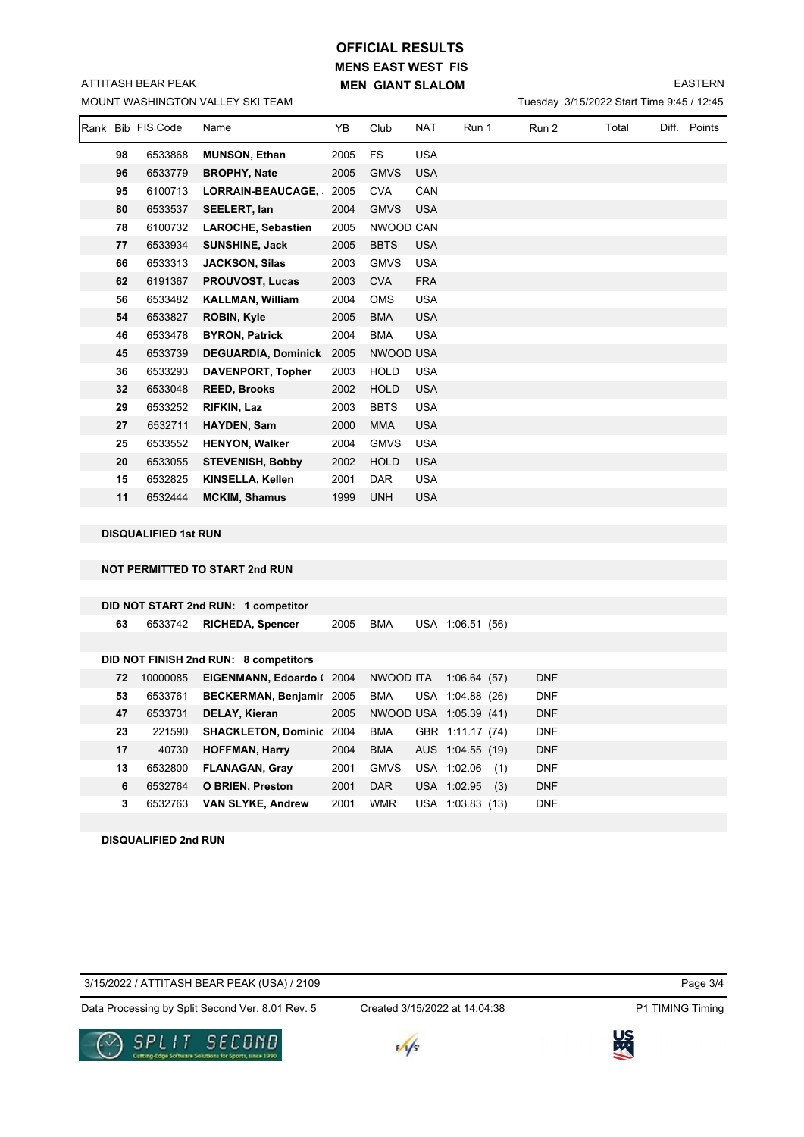# **MENS EAST WEST FIS MEN GIANT SLALOM OFFICIAL RESULTS**

MOUNT WASHINGTON VALLEY SKI TEAM ATTITASH BEAR PEAK

### EASTERN

Tuesday 3/15/2022 Start Time 9:45 / 12:45

|                                       | Rank Bib FIS Code           | Name                                | YB.  | Club        | NAT        | Run 1 | Run 2 | Total | Diff. Points |
|---------------------------------------|-----------------------------|-------------------------------------|------|-------------|------------|-------|-------|-------|--------------|
| 98                                    | 6533868                     | <b>MUNSON, Ethan</b>                | 2005 | <b>FS</b>   | <b>USA</b> |       |       |       |              |
| 96                                    | 6533779                     | <b>BROPHY, Nate</b>                 | 2005 | <b>GMVS</b> | <b>USA</b> |       |       |       |              |
| 95                                    | 6100713                     | <b>LORRAIN-BEAUCAGE,</b>            | 2005 | <b>CVA</b>  | CAN        |       |       |       |              |
| 80                                    | 6533537                     | SEELERT, Ian                        | 2004 | <b>GMVS</b> | <b>USA</b> |       |       |       |              |
| 78                                    | 6100732                     | <b>LAROCHE, Sebastien</b>           | 2005 | NWOOD CAN   |            |       |       |       |              |
| 77                                    | 6533934                     | <b>SUNSHINE, Jack</b>               | 2005 | <b>BBTS</b> | <b>USA</b> |       |       |       |              |
| 66                                    | 6533313                     | <b>JACKSON, Silas</b>               | 2003 | <b>GMVS</b> | <b>USA</b> |       |       |       |              |
| 62                                    | 6191367                     | <b>PROUVOST, Lucas</b>              | 2003 | <b>CVA</b>  | <b>FRA</b> |       |       |       |              |
| 56                                    | 6533482                     | <b>KALLMAN, William</b>             | 2004 | <b>OMS</b>  | <b>USA</b> |       |       |       |              |
| 54                                    | 6533827                     | <b>ROBIN, Kyle</b>                  | 2005 | <b>BMA</b>  | <b>USA</b> |       |       |       |              |
| 46                                    | 6533478                     | <b>BYRON, Patrick</b>               | 2004 | <b>BMA</b>  | <b>USA</b> |       |       |       |              |
| 45                                    | 6533739                     | <b>DEGUARDIA, Dominick</b>          | 2005 | NWOOD USA   |            |       |       |       |              |
| 36                                    | 6533293                     | DAVENPORT, Topher                   | 2003 | <b>HOLD</b> | <b>USA</b> |       |       |       |              |
| 32                                    | 6533048                     | <b>REED, Brooks</b>                 | 2002 | <b>HOLD</b> | <b>USA</b> |       |       |       |              |
| 29                                    | 6533252                     | <b>RIFKIN, Laz</b>                  | 2003 | <b>BBTS</b> | <b>USA</b> |       |       |       |              |
| 27                                    | 6532711                     | HAYDEN, Sam                         | 2000 | <b>MMA</b>  | <b>USA</b> |       |       |       |              |
| 25                                    | 6533552                     | <b>HENYON, Walker</b>               | 2004 | <b>GMVS</b> | <b>USA</b> |       |       |       |              |
| 20                                    | 6533055                     | <b>STEVENISH, Bobby</b>             | 2002 | <b>HOLD</b> | <b>USA</b> |       |       |       |              |
| 15                                    | 6532825                     | KINSELLA, Kellen                    | 2001 | <b>DAR</b>  | <b>USA</b> |       |       |       |              |
| 11                                    | 6532444                     | <b>MCKIM, Shamus</b>                | 1999 | <b>UNH</b>  | <b>USA</b> |       |       |       |              |
|                                       | <b>DISQUALIFIED 1st RUN</b> |                                     |      |             |            |       |       |       |              |
| <b>NOT PERMITTED TO START 2nd RUN</b> |                             |                                     |      |             |            |       |       |       |              |
|                                       |                             |                                     |      |             |            |       |       |       |              |
|                                       |                             | DID NOT START 2nd RUN: 1 competitor |      |             |            |       |       |       |              |

|    |          | DID NOT FINISH 2nd RUN: 8 competitors |      |                        |                                     |             |
|----|----------|---------------------------------------|------|------------------------|-------------------------------------|-------------|
| 72 | 10000085 | EIGENMANN, Edoardo (2004              |      | NWOOD ITA              | 1:06.64(57)                         | <b>DNF</b>  |
| 53 | 6533761  | BECKERMAN, Benjamir 2005              |      | BMA                    | USA 1:04.88 (26)                    | <b>DNF</b>  |
| 47 | 6533731  | <b>DELAY. Kieran</b>                  | 2005 | NWOOD USA 1:05.39 (41) |                                     | <b>DNF</b>  |
| 23 | 221590   | <b>SHACKLETON, Dominic 2004</b>       |      | BMA                    | GBR 1:11.17 (74)                    | <b>DNF</b>  |
| 47 | 10720    | $L$ $\cap$ $EEMAN$ $L_{avm}$          | 0001 | <b>DAAA</b>            | $A \cup C$ $A \cdot A$ $E E$ $(40)$ | <b>DAIF</b> |

6533742 **RICHEDA, Spencer** 2005 BMA USA 1:06.51 (56)

| 23 | 221590 SHACKLETON, Dominic 2004 BMA GBR 1:11.17 (74) |      |     |                      | DNF        |
|----|------------------------------------------------------|------|-----|----------------------|------------|
| 17 | 40730 HOFFMAN, Harry                                 | 2004 |     | BMA AUS 1:04.55 (19) | <b>DNF</b> |
| 13 | 6532800 FLANAGAN, Gray                               | 2001 |     | GMVS USA 1:02.06 (1) | <b>DNF</b> |
| 6. | 6532764 O BRIEN, Preston                             | 2001 | DAR | USA 1:02.95 (3)      | <b>DNF</b> |
| 3  | 6532763 VAN SLYKE, Andrew                            | 2001 | WMR | USA 1:03.83 (13)     | <b>DNF</b> |

**DISQUALIFIED 2nd RUN**

Page 3/4

Data Processing by Split Second Ver. 8.01 Rev. 5 Created 3/15/2022 at 14:04:38 P1 TIMING Timing

Created 3/15/2022 at 14:04:38